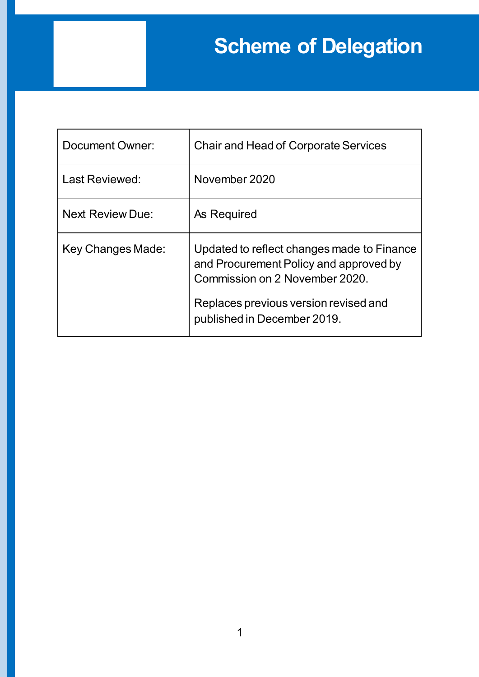## **Scheme of Delegation**

| Document Owner:         | <b>Chair and Head of Corporate Services</b>                                                                                                                                                    |
|-------------------------|------------------------------------------------------------------------------------------------------------------------------------------------------------------------------------------------|
| Last Reviewed:          | November 2020                                                                                                                                                                                  |
| <b>Next Review Due:</b> | As Required                                                                                                                                                                                    |
| Key Changes Made:       | Updated to reflect changes made to Finance<br>and Procurement Policy and approved by<br>Commission on 2 November 2020.<br>Replaces previous version revised and<br>published in December 2019. |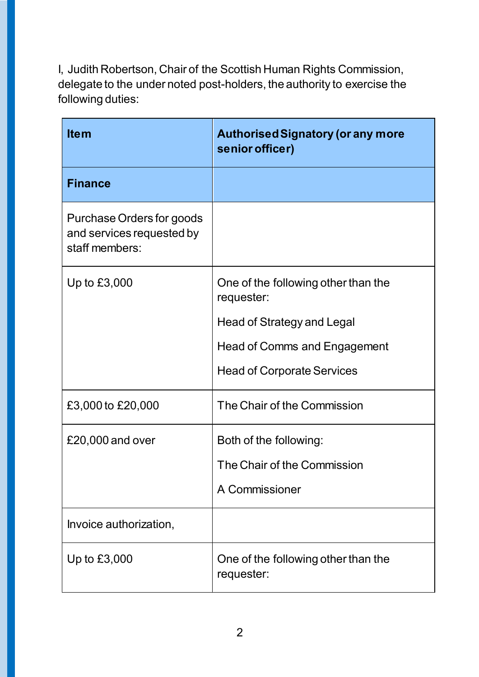I, Judith Robertson, Chair of the Scottish Human Rights Commission, delegate to the under noted post-holders, the authority to exercise the following duties:

| <b>Item</b>                                                              | <b>Authorised Signatory (or any more</b><br>senior officer) |
|--------------------------------------------------------------------------|-------------------------------------------------------------|
| <b>Finance</b>                                                           |                                                             |
| Purchase Orders for goods<br>and services requested by<br>staff members: |                                                             |
| Up to £3,000                                                             | One of the following other than the<br>requester:           |
|                                                                          | Head of Strategy and Legal                                  |
|                                                                          | <b>Head of Comms and Engagement</b>                         |
|                                                                          | <b>Head of Corporate Services</b>                           |
| £3,000 to £20,000                                                        | The Chair of the Commission                                 |
| £20,000 and over                                                         | Both of the following:                                      |
|                                                                          | The Chair of the Commission                                 |
|                                                                          | A Commissioner                                              |
| Invoice authorization,                                                   |                                                             |
| Up to £3,000                                                             | One of the following other than the<br>requester:           |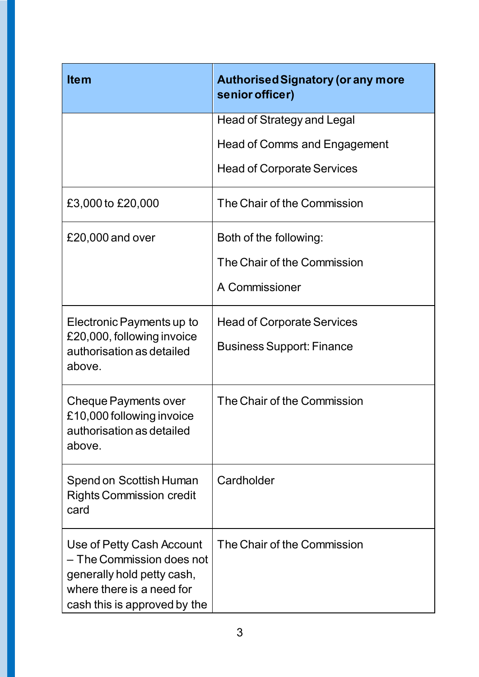| <b>Item</b>                                                                                                                                       | <b>Authorised Signatory (or any more</b><br>senior officer) |
|---------------------------------------------------------------------------------------------------------------------------------------------------|-------------------------------------------------------------|
|                                                                                                                                                   | <b>Head of Strategy and Legal</b>                           |
|                                                                                                                                                   | <b>Head of Comms and Engagement</b>                         |
|                                                                                                                                                   | <b>Head of Corporate Services</b>                           |
| £3,000 to £20,000                                                                                                                                 | The Chair of the Commission                                 |
| £20,000 and over                                                                                                                                  | Both of the following:                                      |
|                                                                                                                                                   | The Chair of the Commission                                 |
|                                                                                                                                                   | A Commissioner                                              |
| Electronic Payments up to<br>£20,000, following invoice<br>authorisation as detailed<br>above.                                                    | <b>Head of Corporate Services</b>                           |
|                                                                                                                                                   | <b>Business Support: Finance</b>                            |
| <b>Cheque Payments over</b><br>£10,000 following invoice<br>authorisation as detailed<br>above.                                                   | The Chair of the Commission                                 |
| Spend on Scottish Human<br><b>Rights Commission credit</b><br>card                                                                                | Cardholder                                                  |
| Use of Petty Cash Account<br>- The Commission does not<br>generally hold petty cash,<br>where there is a need for<br>cash this is approved by the | The Chair of the Commission                                 |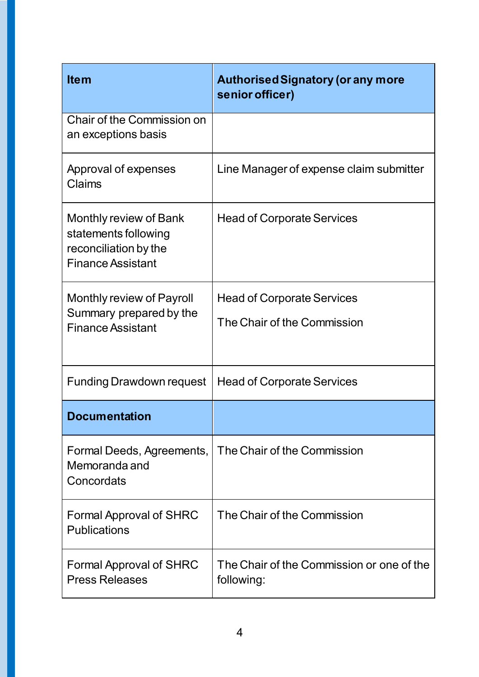| <b>Item</b>                                                                                         | <b>Authorised Signatory (or any more</b><br>senior officer)      |
|-----------------------------------------------------------------------------------------------------|------------------------------------------------------------------|
| Chair of the Commission on<br>an exceptions basis                                                   |                                                                  |
| Approval of expenses<br>Claims                                                                      | Line Manager of expense claim submitter                          |
| Monthly review of Bank<br>statements following<br>reconciliation by the<br><b>Finance Assistant</b> | <b>Head of Corporate Services</b>                                |
| Monthly review of Payroll<br>Summary prepared by the<br><b>Finance Assistant</b>                    | <b>Head of Corporate Services</b><br>The Chair of the Commission |
| <b>Funding Drawdown request</b>                                                                     | <b>Head of Corporate Services</b>                                |
| <b>Documentation</b>                                                                                |                                                                  |
| Formal Deeds, Agreements,  <br>Memoranda and<br>Concordats                                          | The Chair of the Commission                                      |
| <b>Formal Approval of SHRC</b><br><b>Publications</b>                                               | The Chair of the Commission                                      |
| <b>Formal Approval of SHRC</b><br><b>Press Releases</b>                                             | The Chair of the Commission or one of the<br>following:          |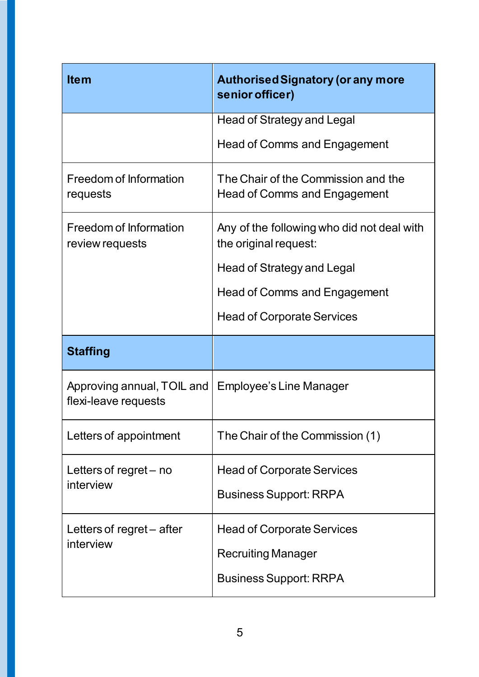| <b>Item</b>                                        | <b>Authorised Signatory (or any more</b><br>senior officer)         |
|----------------------------------------------------|---------------------------------------------------------------------|
|                                                    | Head of Strategy and Legal                                          |
|                                                    | <b>Head of Comms and Engagement</b>                                 |
| Freedom of Information<br>requests                 | The Chair of the Commission and the<br>Head of Comms and Engagement |
| Freedom of Information<br>review requests          | Any of the following who did not deal with<br>the original request: |
|                                                    | Head of Strategy and Legal                                          |
|                                                    | Head of Comms and Engagement                                        |
|                                                    | <b>Head of Corporate Services</b>                                   |
| <b>Staffing</b>                                    |                                                                     |
| Approving annual, TOIL and<br>flexi-leave requests | Employee's Line Manager                                             |
| Letters of appointment                             | The Chair of the Commission (1)                                     |
| Letters of regret – no<br>interview                | <b>Head of Corporate Services</b>                                   |
|                                                    |                                                                     |
|                                                    | <b>Business Support: RRPA</b>                                       |
| Letters of regret - after                          | <b>Head of Corporate Services</b>                                   |
| interview                                          | <b>Recruiting Manager</b>                                           |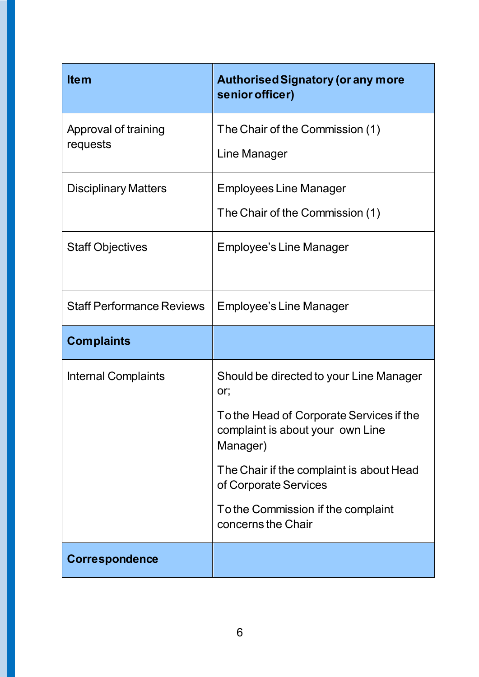| <b>Item</b>                      | <b>Authorised Signatory (or any more</b><br>senior officer)                              |
|----------------------------------|------------------------------------------------------------------------------------------|
| Approval of training<br>requests | The Chair of the Commission (1)                                                          |
|                                  | Line Manager                                                                             |
| <b>Disciplinary Matters</b>      | Employees Line Manager                                                                   |
|                                  | The Chair of the Commission (1)                                                          |
| <b>Staff Objectives</b>          | Employee's Line Manager                                                                  |
|                                  |                                                                                          |
| <b>Staff Performance Reviews</b> | <b>Employee's Line Manager</b>                                                           |
| <b>Complaints</b>                |                                                                                          |
|                                  |                                                                                          |
| <b>Internal Complaints</b>       | Should be directed to your Line Manager<br>or;                                           |
|                                  | To the Head of Corporate Services if the<br>complaint is about your own Line<br>Manager) |
|                                  | The Chair if the complaint is about Head<br>of Corporate Services                        |
|                                  | To the Commission if the complaint<br>concerns the Chair                                 |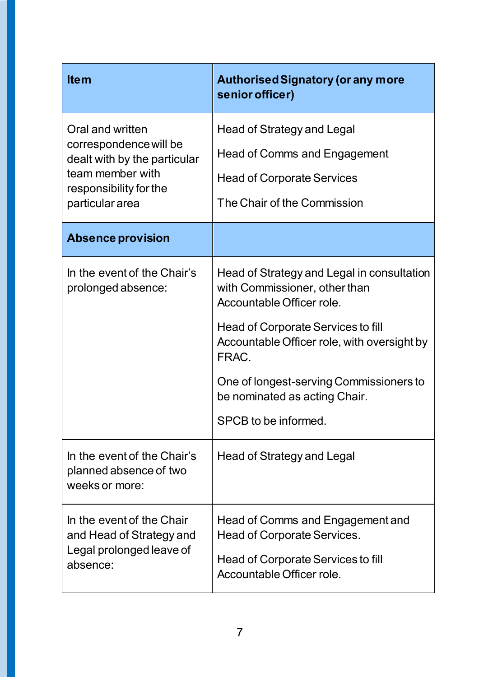| <b>Item</b>                                                                                                                                 | <b>Authorised Signatory (or any more</b><br>senior officer)                                              |
|---------------------------------------------------------------------------------------------------------------------------------------------|----------------------------------------------------------------------------------------------------------|
| Oral and written<br>correspondence will be<br>dealt with by the particular<br>team member with<br>responsibility for the<br>particular area | <b>Head of Strategy and Legal</b>                                                                        |
|                                                                                                                                             | Head of Comms and Engagement                                                                             |
|                                                                                                                                             | <b>Head of Corporate Services</b>                                                                        |
|                                                                                                                                             | The Chair of the Commission                                                                              |
| <b>Absence provision</b>                                                                                                                    |                                                                                                          |
| In the event of the Chair's<br>prolonged absence:                                                                                           | Head of Strategy and Legal in consultation<br>with Commissioner, other than<br>Accountable Officer role. |
|                                                                                                                                             | Head of Corporate Services to fill<br>Accountable Officer role, with oversight by<br>FRAC.               |
|                                                                                                                                             | One of longest-serving Commissioners to<br>be nominated as acting Chair.                                 |
|                                                                                                                                             | <b>SPCB to be informed</b>                                                                               |
| In the event of the Chair's<br>planned absence of two<br>weeks or more:                                                                     | Head of Strategy and Legal                                                                               |
| In the event of the Chair<br>and Head of Strategy and<br>Legal prolonged leave of<br>absence:                                               | Head of Comms and Engagement and<br>Head of Corporate Services.                                          |
|                                                                                                                                             | Head of Corporate Services to fill<br>Accountable Officer role.                                          |